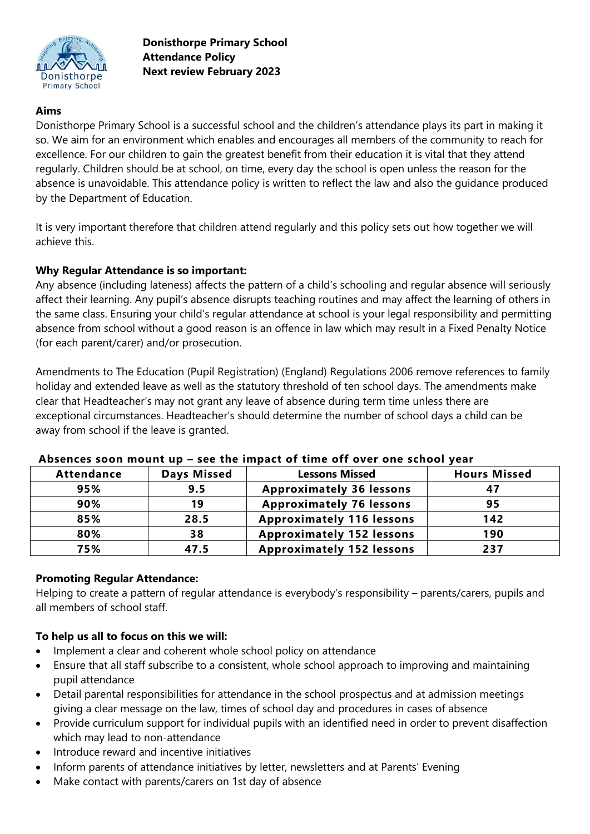

# **Aims**

Donisthorpe Primary School is a successful school and the children's attendance plays its part in making it so. We aim for an environment which enables and encourages all members of the community to reach for excellence. For our children to gain the greatest benefit from their education it is vital that they attend regularly. Children should be at school, on time, every day the school is open unless the reason for the absence is unavoidable. This attendance policy is written to reflect the law and also the guidance produced by the Department of Education.

It is very important therefore that children attend regularly and this policy sets out how together we will achieve this.

## **Why Regular Attendance is so important:**

Any absence (including lateness) affects the pattern of a child's schooling and regular absence will seriously affect their learning. Any pupil's absence disrupts teaching routines and may affect the learning of others in the same class. Ensuring your child's regular attendance at school is your legal responsibility and permitting absence from school without a good reason is an offence in law which may result in a Fixed Penalty Notice (for each parent/carer) and/or prosecution.

Amendments to The Education (Pupil Registration) (England) Regulations 2006 remove references to family holiday and extended leave as well as the statutory threshold of ten school days. The amendments make clear that Headteacher's may not grant any leave of absence during term time unless there are exceptional circumstances. Headteacher's should determine the number of school days a child can be away from school if the leave is granted.

| <b>Attendance</b> | <b>Days Missed</b> | <b>Lessons Missed</b>            | <b>Hours Missed</b> |
|-------------------|--------------------|----------------------------------|---------------------|
| 95%               | 9.5                | <b>Approximately 36 lessons</b>  |                     |
| 90%               | 19                 | <b>Approximately 76 lessons</b>  | 95                  |
| 85%               | 28.5               | <b>Approximately 116 lessons</b> | 142                 |
| 80%               | 38                 | <b>Approximately 152 lessons</b> | 190                 |
| 75%               | 47.5               | <b>Approximately 152 lessons</b> | 237                 |

#### **Absences soon mount up – see the impact of time off over one school year**

### **Promoting Regular Attendance:**

Helping to create a pattern of regular attendance is everybody's responsibility – parents/carers, pupils and all members of school staff.

### **To help us all to focus on this we will:**

- Implement a clear and coherent whole school policy on attendance
- Ensure that all staff subscribe to a consistent, whole school approach to improving and maintaining pupil attendance
- Detail parental responsibilities for attendance in the school prospectus and at admission meetings giving a clear message on the law, times of school day and procedures in cases of absence
- Provide curriculum support for individual pupils with an identified need in order to prevent disaffection which may lead to non-attendance
- Introduce reward and incentive initiatives
- Inform parents of attendance initiatives by letter, newsletters and at Parents' Evening
- Make contact with parents/carers on 1st day of absence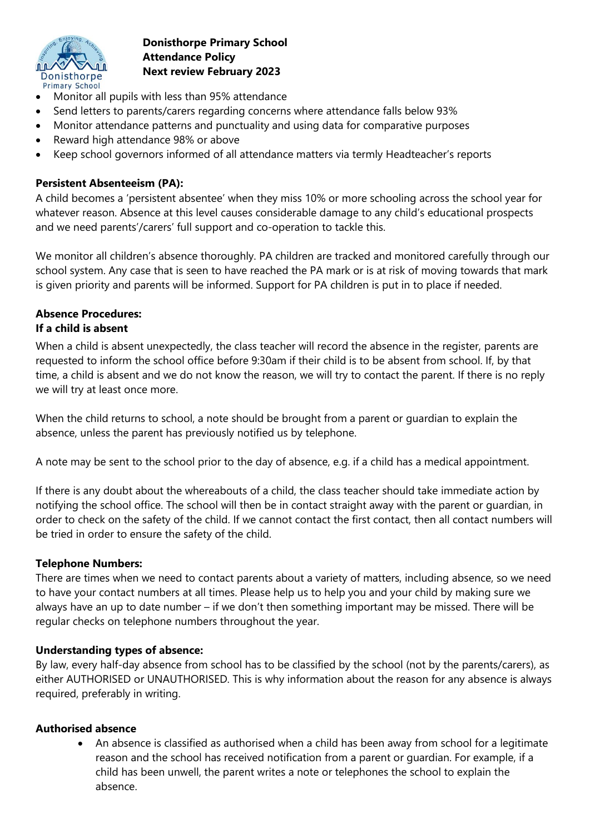

- Monitor all pupils with less than 95% attendance
- Send letters to parents/carers regarding concerns where attendance falls below 93%
- Monitor attendance patterns and punctuality and using data for comparative purposes
- Reward high attendance 98% or above
- Keep school governors informed of all attendance matters via termly Headteacher's reports

## **Persistent Absenteeism (PA):**

A child becomes a 'persistent absentee' when they miss 10% or more schooling across the school year for whatever reason. Absence at this level causes considerable damage to any child's educational prospects and we need parents'/carers' full support and co-operation to tackle this.

We monitor all children's absence thoroughly. PA children are tracked and monitored carefully through our school system. Any case that is seen to have reached the PA mark or is at risk of moving towards that mark is given priority and parents will be informed. Support for PA children is put in to place if needed.

## **Absence Procedures: If a child is absent**

When a child is absent unexpectedly, the class teacher will record the absence in the register, parents are requested to inform the school office before 9:30am if their child is to be absent from school. If, by that time, a child is absent and we do not know the reason, we will try to contact the parent. If there is no reply we will try at least once more.

When the child returns to school, a note should be brought from a parent or guardian to explain the absence, unless the parent has previously notified us by telephone.

A note may be sent to the school prior to the day of absence, e.g. if a child has a medical appointment.

If there is any doubt about the whereabouts of a child, the class teacher should take immediate action by notifying the school office. The school will then be in contact straight away with the parent or guardian, in order to check on the safety of the child. If we cannot contact the first contact, then all contact numbers will be tried in order to ensure the safety of the child.

## **Telephone Numbers:**

There are times when we need to contact parents about a variety of matters, including absence, so we need to have your contact numbers at all times. Please help us to help you and your child by making sure we always have an up to date number – if we don't then something important may be missed. There will be regular checks on telephone numbers throughout the year.

## **Understanding types of absence:**

By law, every half-day absence from school has to be classified by the school (not by the parents/carers), as either AUTHORISED or UNAUTHORISED. This is why information about the reason for any absence is always required, preferably in writing.

### **Authorised absence**

 An absence is classified as authorised when a child has been away from school for a legitimate reason and the school has received notification from a parent or guardian. For example, if a child has been unwell, the parent writes a note or telephones the school to explain the absence.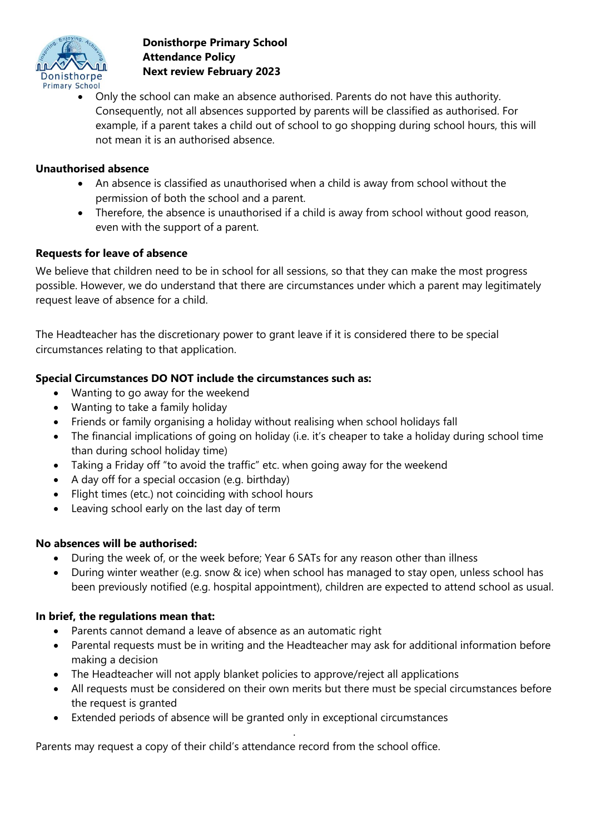

 Only the school can make an absence authorised. Parents do not have this authority. Consequently, not all absences supported by parents will be classified as authorised. For example, if a parent takes a child out of school to go shopping during school hours, this will not mean it is an authorised absence.

### **Unauthorised absence**

- An absence is classified as unauthorised when a child is away from school without the permission of both the school and a parent.
- Therefore, the absence is unauthorised if a child is away from school without good reason, even with the support of a parent.

### **Requests for leave of absence**

We believe that children need to be in school for all sessions, so that they can make the most progress possible. However, we do understand that there are circumstances under which a parent may legitimately request leave of absence for a child.

The Headteacher has the discretionary power to grant leave if it is considered there to be special circumstances relating to that application.

### **Special Circumstances DO NOT include the circumstances such as:**

- Wanting to go away for the weekend
- Wanting to take a family holiday
- Friends or family organising a holiday without realising when school holidays fall
- The financial implications of going on holiday (i.e. it's cheaper to take a holiday during school time than during school holiday time)
- Taking a Friday off "to avoid the traffic" etc. when going away for the weekend
- A day off for a special occasion (e.g. birthday)
- Flight times (etc.) not coinciding with school hours
- Leaving school early on the last day of term

### **No absences will be authorised:**

- During the week of, or the week before; Year 6 SATs for any reason other than illness
- During winter weather (e.g. snow & ice) when school has managed to stay open, unless school has been previously notified (e.g. hospital appointment), children are expected to attend school as usual.

### **In brief, the regulations mean that:**

- Parents cannot demand a leave of absence as an automatic right
- Parental requests must be in writing and the Headteacher may ask for additional information before making a decision
- The Headteacher will not apply blanket policies to approve/reject all applications
- All requests must be considered on their own merits but there must be special circumstances before the request is granted

*.*

Extended periods of absence will be granted only in exceptional circumstances

Parents may request a copy of their child's attendance record from the school office.